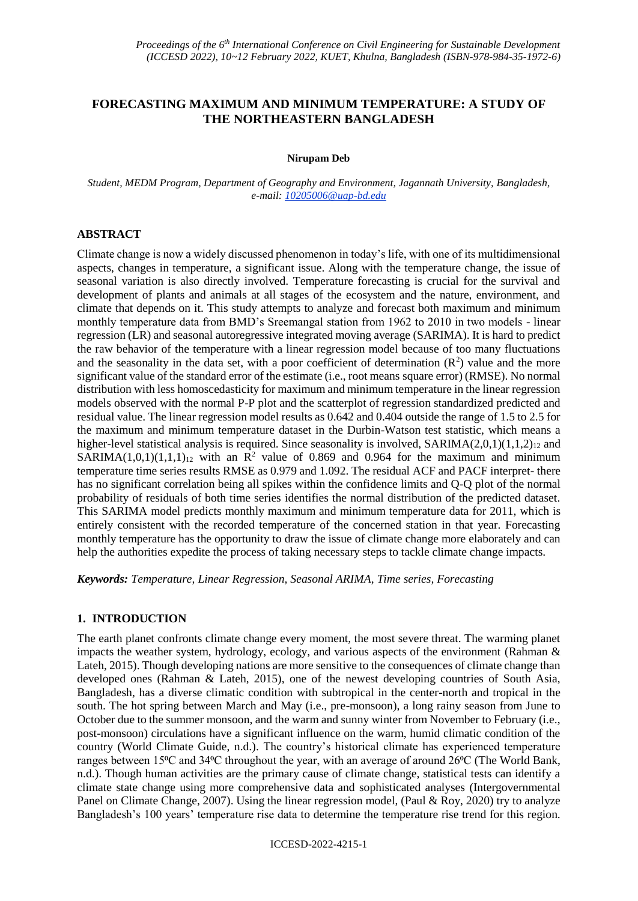# **FORECASTING MAXIMUM AND MINIMUM TEMPERATURE: A STUDY OF THE NORTHEASTERN BANGLADESH**

#### **Nirupam Deb**

*Student, MEDM Program, Department of Geography and Environment, Jagannath University, Bangladesh, e-mail: 10205006@uap-bd.edu*

### **ABSTRACT**

Climate change is now a widely discussed phenomenon in today's life, with one of its multidimensional aspects, changes in temperature, a significant issue. Along with the temperature change, the issue of seasonal variation is also directly involved. Temperature forecasting is crucial for the survival and development of plants and animals at all stages of the ecosystem and the nature, environment, and climate that depends on it. This study attempts to analyze and forecast both maximum and minimum monthly temperature data from BMD's Sreemangal station from 1962 to 2010 in two models - linear regression (LR) and seasonal autoregressive integrated moving average (SARIMA). It is hard to predict the raw behavior of the temperature with a linear regression model because of too many fluctuations and the seasonality in the data set, with a poor coefficient of determination  $(R^2)$  value and the more significant value of the standard error of the estimate (i.e., root means square error) (RMSE). No normal distribution with less homoscedasticity for maximum and minimum temperature in the linear regression models observed with the normal P-P plot and the scatterplot of regression standardized predicted and residual value. The linear regression model results as 0.642 and 0.404 outside the range of 1.5 to 2.5 for the maximum and minimum temperature dataset in the Durbin-Watson test statistic, which means a higher-level statistical analysis is required. Since seasonality is involved,  $SARIMA(2,0,1)(1,1,2)<sub>12</sub>$  and SARIMA(1,0,1)(1,1,1)<sub>12</sub> with an  $\mathbb{R}^2$  value of 0.869 and 0.964 for the maximum and minimum temperature time series results RMSE as 0.979 and 1.092. The residual ACF and PACF interpret- there has no significant correlation being all spikes within the confidence limits and Q-Q plot of the normal probability of residuals of both time series identifies the normal distribution of the predicted dataset. This SARIMA model predicts monthly maximum and minimum temperature data for 2011, which is entirely consistent with the recorded temperature of the concerned station in that year. Forecasting monthly temperature has the opportunity to draw the issue of climate change more elaborately and can help the authorities expedite the process of taking necessary steps to tackle climate change impacts.

*Keywords: Temperature, Linear Regression, Seasonal ARIMA, Time series, Forecasting*

### **1. INTRODUCTION**

The earth planet confronts climate change every moment, the most severe threat. The warming planet impacts the weather system, hydrology, ecology, and various aspects of the environment (Rahman  $\&$ Lateh, 2015). Though developing nations are more sensitive to the consequences of climate change than developed ones (Rahman & Lateh, 2015), one of the newest developing countries of South Asia, Bangladesh, has a diverse climatic condition with subtropical in the center-north and tropical in the south. The hot spring between March and May (i.e., pre-monsoon), a long rainy season from June to October due to the summer monsoon, and the warm and sunny winter from November to February (i.e., post-monsoon) circulations have a significant influence on the warm, humid climatic condition of the country (World Climate Guide, n.d.). The country's historical climate has experienced temperature ranges between 15<sup>o</sup>C and 34<sup>o</sup>C throughout the year, with an average of around 26<sup>o</sup>C (The World Bank, n.d.). Though human activities are the primary cause of climate change, statistical tests can identify a climate state change using more comprehensive data and sophisticated analyses (Intergovernmental Panel on Climate Change, 2007). Using the linear regression model, (Paul & Roy, 2020) try to analyze Bangladesh's 100 years' temperature rise data to determine the temperature rise trend for this region.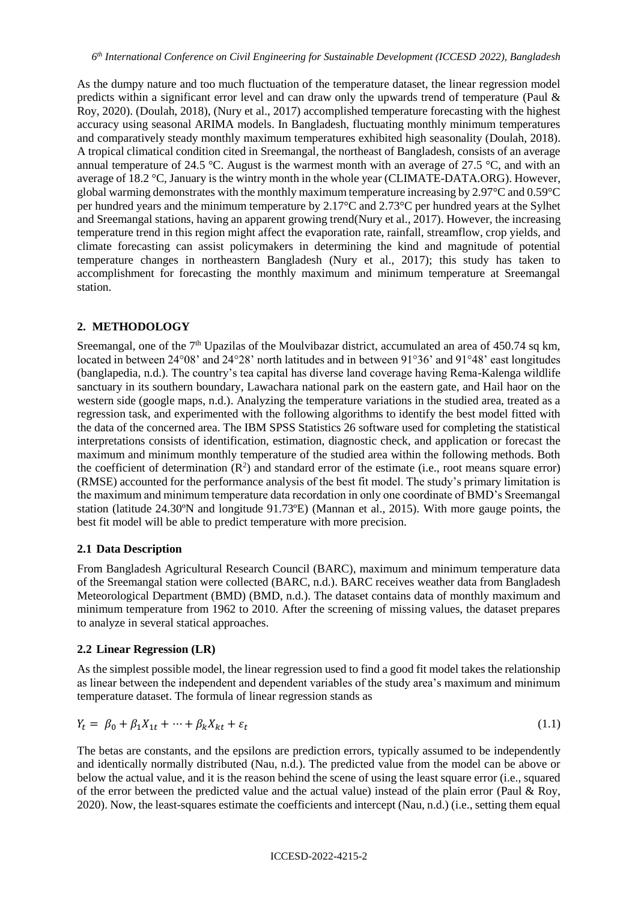As the dumpy nature and too much fluctuation of the temperature dataset, the linear regression model predicts within a significant error level and can draw only the upwards trend of temperature (Paul & Roy, 2020). (Doulah, 2018), (Nury et al., 2017) accomplished temperature forecasting with the highest accuracy using seasonal ARIMA models. In Bangladesh, fluctuating monthly minimum temperatures and comparatively steady monthly maximum temperatures exhibited high seasonality (Doulah, 2018). A tropical climatical condition cited in Sreemangal, the northeast of Bangladesh, consists of an average annual temperature of 24.5 °C. August is the warmest month with an average of 27.5 °C, and with an average of 18.2 °C, January is the wintry month in the whole year (CLIMATE-DATA.ORG). However, global warming demonstrates with the monthly maximum temperature increasing by 2.97°C and 0.59°C per hundred years and the minimum temperature by 2.17°C and 2.73°C per hundred years at the Sylhet and Sreemangal stations, having an apparent growing trend(Nury et al., 2017). However, the increasing temperature trend in this region might affect the evaporation rate, rainfall, streamflow, crop yields, and climate forecasting can assist policymakers in determining the kind and magnitude of potential temperature changes in northeastern Bangladesh (Nury et al., 2017); this study has taken to accomplishment for forecasting the monthly maximum and minimum temperature at Sreemangal station.

## **2. METHODOLOGY**

Sreemangal, one of the  $7<sup>th</sup>$  Upazilas of the Moulvibazar district, accumulated an area of 450.74 sq km, located in between 24°08' and 24°28' north latitudes and in between 91°36' and 91°48' east longitudes (banglapedia, n.d.). The country's tea capital has diverse land coverage having Rema-Kalenga wildlife sanctuary in its southern boundary, Lawachara national park on the eastern gate, and Hail haor on the western side (google maps, n.d.). Analyzing the temperature variations in the studied area, treated as a regression task, and experimented with the following algorithms to identify the best model fitted with the data of the concerned area. The IBM SPSS Statistics 26 software used for completing the statistical interpretations consists of identification, estimation, diagnostic check, and application or forecast the maximum and minimum monthly temperature of the studied area within the following methods. Both the coefficient of determination  $(R^2)$  and standard error of the estimate (i.e., root means square error) (RMSE) accounted for the performance analysis of the best fit model. The study's primary limitation is the maximum and minimum temperature data recordation in only one coordinate of BMD's Sreemangal station (latitude 24.30ºN and longitude 91.73ºE) (Mannan et al., 2015). With more gauge points, the best fit model will be able to predict temperature with more precision.

## **2.1 Data Description**

From Bangladesh Agricultural Research Council (BARC), maximum and minimum temperature data of the Sreemangal station were collected (BARC, n.d.). BARC receives weather data from Bangladesh Meteorological Department (BMD) (BMD, n.d.). The dataset contains data of monthly maximum and minimum temperature from 1962 to 2010. After the screening of missing values, the dataset prepares to analyze in several statical approaches.

## **2.2 Linear Regression (LR)**

As the simplest possible model, the linear regression used to find a good fit model takes the relationship as linear between the independent and dependent variables of the study area's maximum and minimum temperature dataset. The formula of linear regression stands as

$$
Y_t = \beta_0 + \beta_1 X_{1t} + \dots + \beta_k X_{kt} + \varepsilon_t \tag{1.1}
$$

The betas are constants, and the epsilons are prediction errors, typically assumed to be independently and identically normally distributed (Nau, n.d.). The predicted value from the model can be above or below the actual value, and it is the reason behind the scene of using the least square error (i.e., squared of the error between the predicted value and the actual value) instead of the plain error (Paul  $\&$  Roy, 2020). Now, the least-squares estimate the coefficients and intercept (Nau, n.d.) (i.e., setting them equal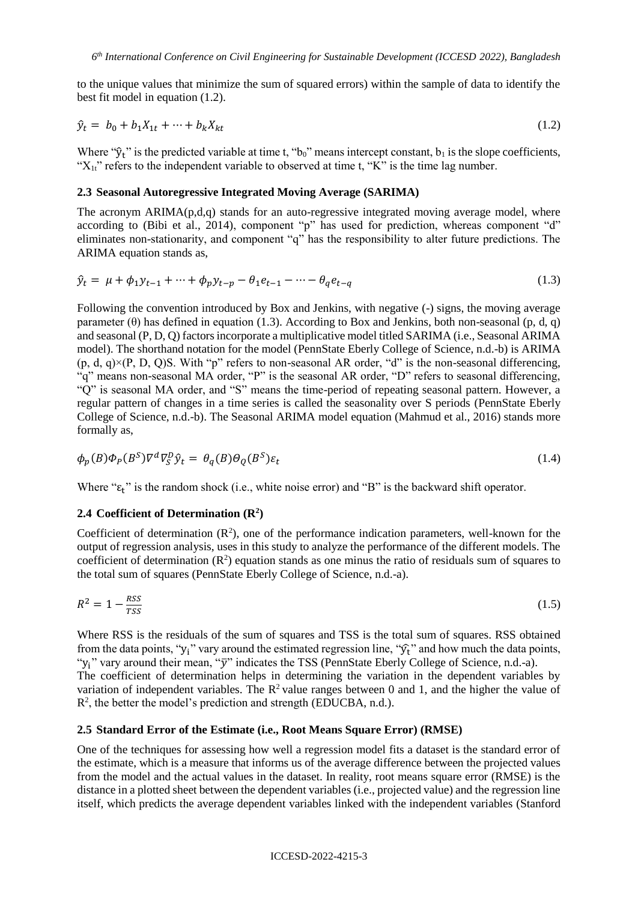to the unique values that minimize the sum of squared errors) within the sample of data to identify the best fit model in equation (1.2).

$$
\hat{y}_t = b_0 + b_1 X_{1t} + \dots + b_k X_{kt} \tag{1.2}
$$

Where " $\hat{y}_t$ " is the predicted variable at time t, "b<sub>0</sub>" means intercept constant, b<sub>1</sub> is the slope coefficients, " $X_{1t}$ " refers to the independent variable to observed at time t, "K" is the time lag number.

## **2.3 Seasonal Autoregressive Integrated Moving Average (SARIMA)**

The acronym ARIMA(p,d,q) stands for an auto-regressive integrated moving average model, where according to (Bibi et al., 2014), component "p" has used for prediction, whereas component "d" eliminates non-stationarity, and component "q" has the responsibility to alter future predictions. The ARIMA equation stands as,

$$
\hat{y}_t = \mu + \phi_1 y_{t-1} + \dots + \phi_p y_{t-p} - \theta_1 e_{t-1} - \dots - \theta_q e_{t-q}
$$
\n(1.3)

Following the convention introduced by Box and Jenkins, with negative (-) signs, the moving average parameter  $(\theta)$  has defined in equation (1.3). According to Box and Jenkins, both non-seasonal (p, d, q) and seasonal (P, D, Q) factors incorporate a multiplicative model titled SARIMA (i.e., Seasonal ARIMA model). The shorthand notation for the model (PennState Eberly College of Science, n.d.-b) is ARIMA  $(p, d, q) \times (P, D, Q)$ S. With "p" refers to non-seasonal AR order, "d" is the non-seasonal differencing, "q" means non-seasonal MA order, "P" is the seasonal AR order, "D" refers to seasonal differencing, "Q" is seasonal MA order, and "S" means the time-period of repeating seasonal pattern. However, a regular pattern of changes in a time series is called the seasonality over S periods (PennState Eberly College of Science, n.d.-b). The Seasonal ARIMA model equation (Mahmud et al., 2016) stands more formally as,

$$
\phi_p(B)\phi_p(B^S)\nabla^d\nabla^p_S\hat{y}_t = \theta_q(B)\theta_Q(B^S)\varepsilon_t
$$
\n(1.4)

Where " $\varepsilon_t$ " is the random shock (i.e., white noise error) and "B" is the backward shift operator.

#### **2.4 Coefficient of Determination (R<sup>2</sup> )**

Coefficient of determination  $(R^2)$ , one of the performance indication parameters, well-known for the output of regression analysis, uses in this study to analyze the performance of the different models. The coefficient of determination  $(R^2)$  equation stands as one minus the ratio of residuals sum of squares to the total sum of squares (PennState Eberly College of Science, n.d.-a).

$$
R^2 = 1 - \frac{RSS}{TSS} \tag{1.5}
$$

Where RSS is the residuals of the sum of squares and TSS is the total sum of squares. RSS obtained from the data points, "y<sub>i</sub>" vary around the estimated regression line, " $\hat{y}$ " and how much the data points, "y<sub>i</sub>" vary around their mean, "y" indicates the TSS (PennState Eberly College of Science, n.d.-a). The coefficient of determination helps in determining the variation in the dependent variables by variation of independent variables. The  $\mathbb{R}^2$  value ranges between 0 and 1, and the higher the value of R<sup>2</sup>, the better the model's prediction and strength (EDUCBA, n.d.).

#### **2.5 Standard Error of the Estimate (i.e., Root Means Square Error) (RMSE)**

One of the techniques for assessing how well a regression model fits a dataset is the standard error of the estimate, which is a measure that informs us of the average difference between the projected values from the model and the actual values in the dataset. In reality, root means square error (RMSE) is the distance in a plotted sheet between the dependent variables (i.e., projected value) and the regression line itself, which predicts the average dependent variables linked with the independent variables (Stanford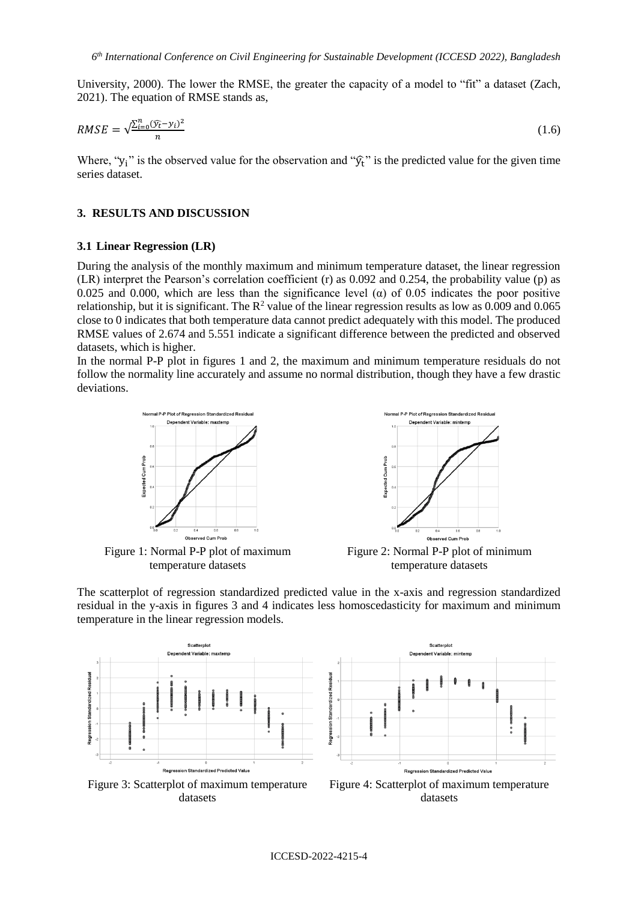University, 2000). The lower the RMSE, the greater the capacity of a model to "fit" a dataset (Zach, 2021). The equation of RMSE stands as,

$$
RMSE = \sqrt{\frac{\sum_{i=0}^{n} (\widehat{y}_t - y_i)^2}{n}}
$$
\n(1.6)

Where, "y<sub>i</sub>" is the observed value for the observation and " $\hat{y}$ <sub>t</sub>" is the predicted value for the given time series dataset.

#### **3. RESULTS AND DISCUSSION**

#### **3.1 Linear Regression (LR)**

During the analysis of the monthly maximum and minimum temperature dataset, the linear regression (LR) interpret the Pearson's correlation coefficient (r) as 0.092 and 0.254, the probability value (p) as 0.025 and 0.000, which are less than the significance level ( $\alpha$ ) of 0.05 indicates the poor positive relationship, but it is significant. The  $R^2$  value of the linear regression results as low as 0.009 and 0.065 close to 0 indicates that both temperature data cannot predict adequately with this model. The produced RMSE values of 2.674 and 5.551 indicate a significant difference between the predicted and observed datasets, which is higher.

In the normal P-P plot in figures 1 and 2, the maximum and minimum temperature residuals do not follow the normality line accurately and assume no normal distribution, though they have a few drastic deviations.



Figure 1: Normal P-P plot of maximum temperature datasets



Figure 2: Normal P-P plot of minimum temperature datasets

The scatterplot of regression standardized predicted value in the x-axis and regression standardized residual in the y-axis in figures 3 and 4 indicates less homoscedasticity for maximum and minimum temperature in the linear regression models.







Figure 4: Scatterplot of maximum temperature datasets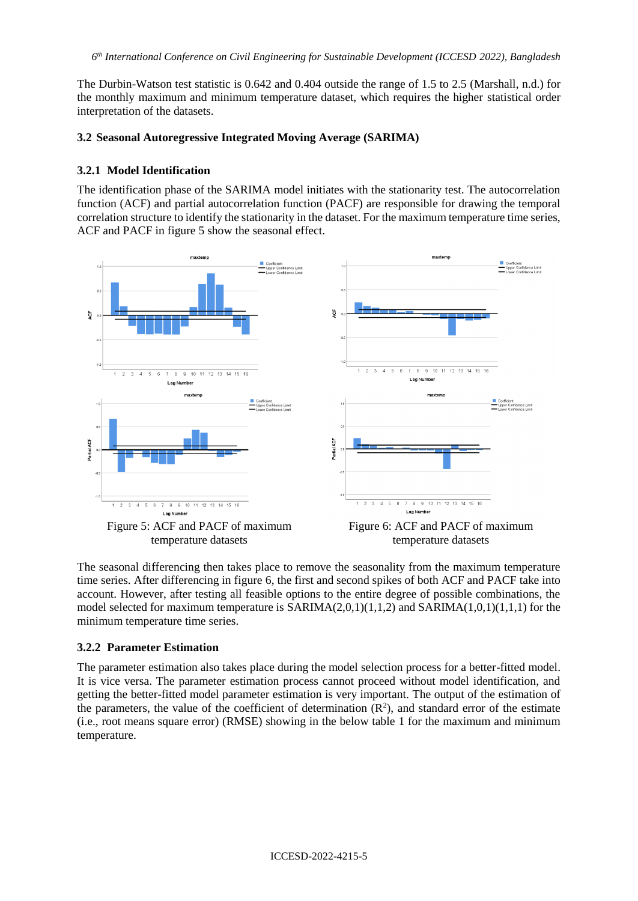The Durbin-Watson test statistic is 0.642 and 0.404 outside the range of 1.5 to 2.5 (Marshall, n.d.) for the monthly maximum and minimum temperature dataset, which requires the higher statistical order interpretation of the datasets.

## **3.2 Seasonal Autoregressive Integrated Moving Average (SARIMA)**

## **3.2.1 Model Identification**

The identification phase of the SARIMA model initiates with the stationarity test. The autocorrelation function (ACF) and partial autocorrelation function (PACF) are responsible for drawing the temporal correlation structure to identify the stationarity in the dataset. For the maximum temperature time series, ACF and PACF in figure 5 show the seasonal effect.



The seasonal differencing then takes place to remove the seasonality from the maximum temperature time series. After differencing in figure 6, the first and second spikes of both ACF and PACF take into account. However, after testing all feasible options to the entire degree of possible combinations, the model selected for maximum temperature is  $SARIMA(2,0,1)(1,1,2)$  and  $SARIMA(1,0,1)(1,1,1)$  for the minimum temperature time series.

## **3.2.2 Parameter Estimation**

The parameter estimation also takes place during the model selection process for a better-fitted model. It is vice versa. The parameter estimation process cannot proceed without model identification, and getting the better-fitted model parameter estimation is very important. The output of the estimation of the parameters, the value of the coefficient of determination  $(R^2)$ , and standard error of the estimate (i.e., root means square error) (RMSE) showing in the below table 1 for the maximum and minimum temperature.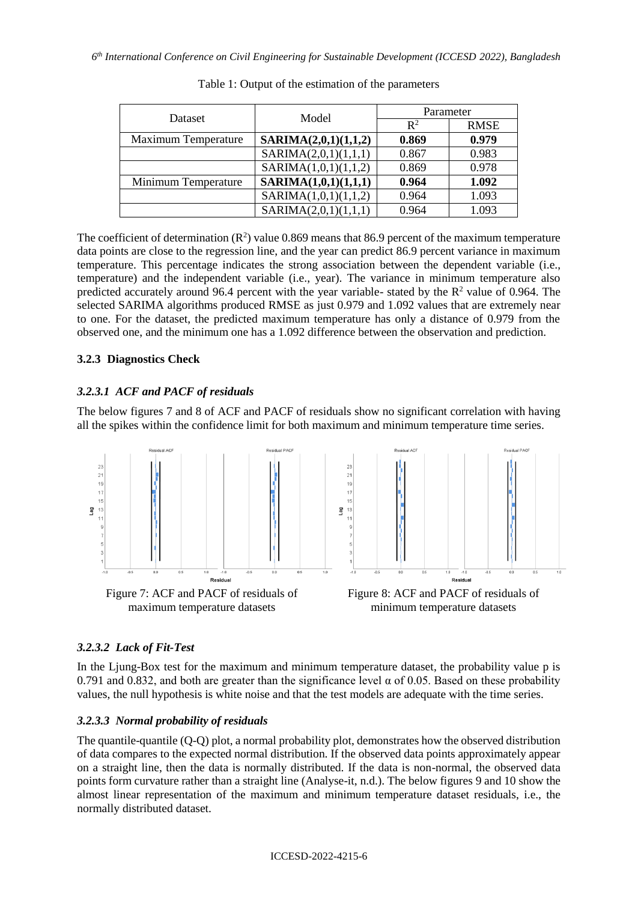| Dataset                    | Model                | Parameter      |             |  |
|----------------------------|----------------------|----------------|-------------|--|
|                            |                      | $\mathbb{R}^2$ | <b>RMSE</b> |  |
| <b>Maximum Temperature</b> | SARIMA(2,0,1)(1,1,2) | 0.869          | 0.979       |  |
|                            | SARIMA(2,0,1)(1,1,1) | 0.867          | 0.983       |  |
|                            | SARIMA(1,0,1)(1,1,2) | 0.869          | 0.978       |  |
| Minimum Temperature        | SARIMA(1,0,1)(1,1,1) | 0.964          | 1.092       |  |
|                            | SARIMA(1,0,1)(1,1,2) | 0.964          | 1.093       |  |
|                            | SARIMA(2,0,1)(1,1,1) | 0.964          | 1.093       |  |

|  |  |  | Table 1: Output of the estimation of the parameters |
|--|--|--|-----------------------------------------------------|

The coefficient of determination  $(R^2)$  value 0.869 means that 86.9 percent of the maximum temperature data points are close to the regression line, and the year can predict 86.9 percent variance in maximum temperature. This percentage indicates the strong association between the dependent variable (i.e., temperature) and the independent variable (i.e., year). The variance in minimum temperature also predicted accurately around 96.4 percent with the year variable- stated by the  $\mathbb{R}^2$  value of 0.964. The selected SARIMA algorithms produced RMSE as just 0.979 and 1.092 values that are extremely near to one. For the dataset, the predicted maximum temperature has only a distance of 0.979 from the observed one, and the minimum one has a 1.092 difference between the observation and prediction.

## **3.2.3 Diagnostics Check**

## *3.2.3.1 ACF and PACF of residuals*

The below figures 7 and 8 of ACF and PACF of residuals show no significant correlation with having all the spikes within the confidence limit for both maximum and minimum temperature time series.



## *3.2.3.2 Lack of Fit-Test*

In the Ljung-Box test for the maximum and minimum temperature dataset, the probability value p is 0.791 and 0.832, and both are greater than the significance level  $\alpha$  of 0.05. Based on these probability values, the null hypothesis is white noise and that the test models are adequate with the time series.

## *3.2.3.3 Normal probability of residuals*

The quantile-quantile (Q-Q) plot, a normal probability plot, demonstrates how the observed distribution of data compares to the expected normal distribution. If the observed data points approximately appear on a straight line, then the data is normally distributed. If the data is non-normal, the observed data points form curvature rather than a straight line (Analyse-it, n.d.). The below figures 9 and 10 show the almost linear representation of the maximum and minimum temperature dataset residuals, i.e., the normally distributed dataset.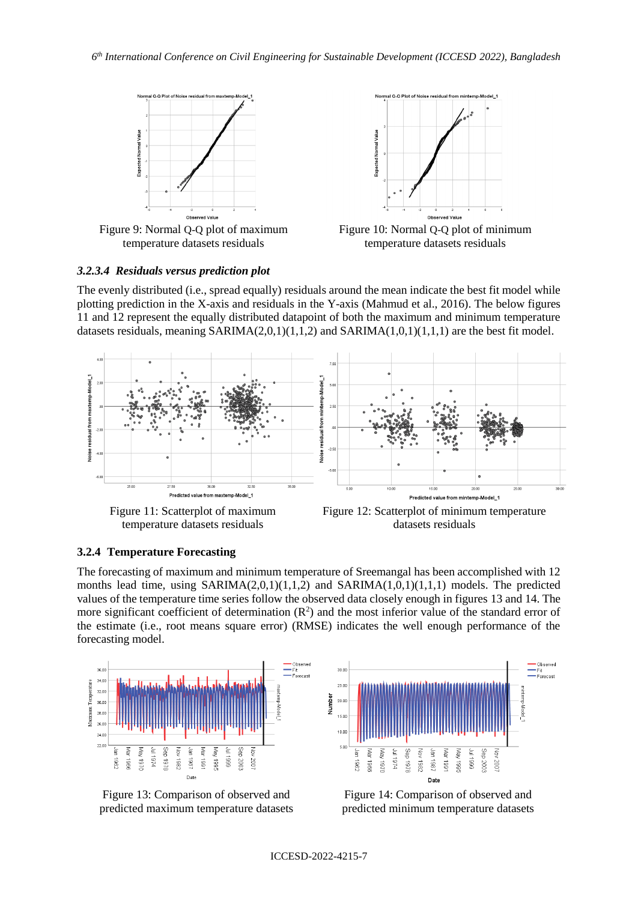

Figure 9: Normal Q-Q plot of maximum temperature datasets residuals



Figure 10: Normal Q-Q plot of minimum temperature datasets residuals

## *3.2.3.4 Residuals versus prediction plot*

The evenly distributed (i.e., spread equally) residuals around the mean indicate the best fit model while plotting prediction in the X-axis and residuals in the Y-axis (Mahmud et al., 2016). The below figures 11 and 12 represent the equally distributed datapoint of both the maximum and minimum temperature datasets residuals, meaning  $SARIMA(2,0,1)(1,1,2)$  and  $SARIMA(1,0,1)(1,1,1)$  are the best fit model.



Figure 11: Scatterplot of maximum temperature datasets residuals

Figure 12: Scatterplot of minimum temperature datasets residuals

## **3.2.4 Temperature Forecasting**

The forecasting of maximum and minimum temperature of Sreemangal has been accomplished with 12 months lead time, using  $SARIMA(2,0,1)(1,1,2)$  and  $SARIMA(1,0,1)(1,1,1)$  models. The predicted values of the temperature time series follow the observed data closely enough in figures 13 and 14. The more significant coefficient of determination  $(R^2)$  and the most inferior value of the standard error of the estimate (i.e., root means square error) (RMSE) indicates the well enough performance of the forecasting model.







Figure 14: Comparison of observed and predicted minimum temperature datasets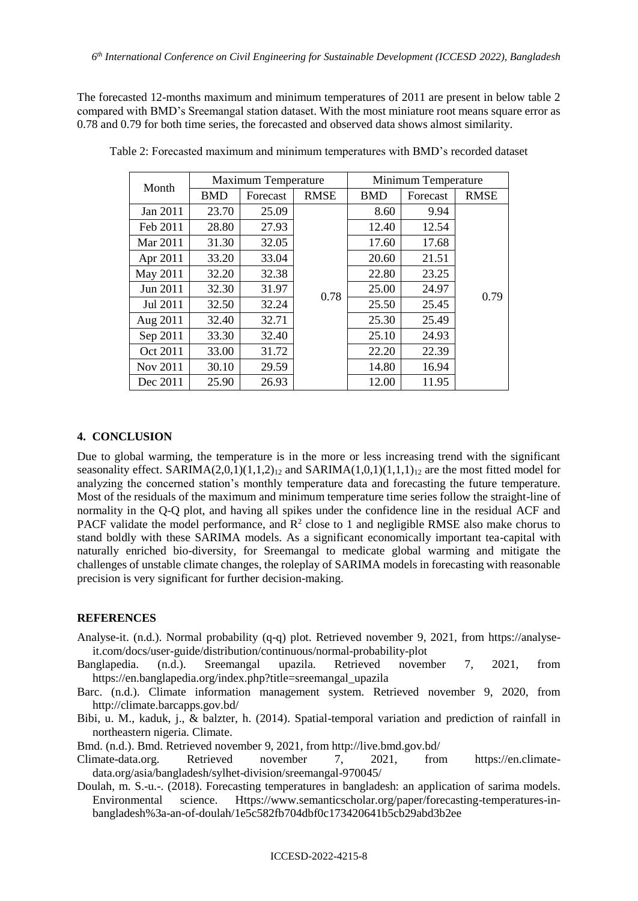The forecasted 12-months maximum and minimum temperatures of 2011 are present in below table 2 compared with BMD's Sreemangal station dataset. With the most miniature root means square error as 0.78 and 0.79 for both time series, the forecasted and observed data shows almost similarity.

| Month    | <b>Maximum Temperature</b> |          |             | Minimum Temperature |          |             |
|----------|----------------------------|----------|-------------|---------------------|----------|-------------|
|          | <b>BMD</b>                 | Forecast | <b>RMSE</b> | <b>BMD</b>          | Forecast | <b>RMSE</b> |
| Jan 2011 | 23.70                      | 25.09    | 0.78        | 8.60                | 9.94     |             |
| Feb 2011 | 28.80                      | 27.93    |             | 12.40               | 12.54    |             |
| Mar 2011 | 31.30                      | 32.05    |             | 17.60               | 17.68    |             |
| Apr 2011 | 33.20                      | 33.04    |             | 20.60               | 21.51    |             |
| May 2011 | 32.20                      | 32.38    |             | 22.80               | 23.25    |             |
| Jun 2011 | 32.30                      | 31.97    |             | 25.00               | 24.97    | 0.79        |
| Jul 2011 | 32.50                      | 32.24    |             | 25.50               | 25.45    |             |
| Aug 2011 | 32.40                      | 32.71    |             | 25.30               | 25.49    |             |
| Sep 2011 | 33.30                      | 32.40    |             | 25.10               | 24.93    |             |
| Oct 2011 | 33.00                      | 31.72    |             | 22.20               | 22.39    |             |
| Nov 2011 | 30.10                      | 29.59    |             | 14.80               | 16.94    |             |
| Dec 2011 | 25.90                      | 26.93    |             | 12.00               | 11.95    |             |

Table 2: Forecasted maximum and minimum temperatures with BMD's recorded dataset

#### **4. CONCLUSION**

Due to global warming, the temperature is in the more or less increasing trend with the significant seasonality effect. SARIMA $(2,0,1)(1,1,2)_{12}$  and SARIMA $(1,0,1)(1,1,1)_{12}$  are the most fitted model for analyzing the concerned station's monthly temperature data and forecasting the future temperature. Most of the residuals of the maximum and minimum temperature time series follow the straight-line of normality in the Q-Q plot, and having all spikes under the confidence line in the residual ACF and PACF validate the model performance, and  $\mathbb{R}^2$  close to 1 and negligible RMSE also make chorus to stand boldly with these SARIMA models. As a significant economically important tea-capital with naturally enriched bio-diversity, for Sreemangal to medicate global warming and mitigate the challenges of unstable climate changes, the roleplay of SARIMA models in forecasting with reasonable precision is very significant for further decision-making.

#### **REFERENCES**

- Analyse-it. (n.d.). Normal probability (q-q) plot. Retrieved november 9, 2021, from https://analyseit.com/docs/user-guide/distribution/continuous/normal-probability-plot
- Banglapedia. (n.d.). Sreemangal upazila. Retrieved november 7, 2021, from https://en.banglapedia.org/index.php?title=sreemangal\_upazila
- Barc. (n.d.). Climate information management system. Retrieved november 9, 2020, from http://climate.barcapps.gov.bd/
- Bibi, u. M., kaduk, j., & balzter, h. (2014). Spatial-temporal variation and prediction of rainfall in northeastern nigeria. Climate.
- Bmd. (n.d.). Bmd. Retrieved november 9, 2021, from http://live.bmd.gov.bd/
- Climate-data.org. Retrieved november 7, 2021, from https://en.climatedata.org/asia/bangladesh/sylhet-division/sreemangal-970045/
- Doulah, m. S.-u.-. (2018). Forecasting temperatures in bangladesh: an application of sarima models. Environmental science. Https://www.semanticscholar.org/paper/forecasting-temperatures-inbangladesh%3a-an-of-doulah/1e5c582fb704dbf0c173420641b5cb29abd3b2ee